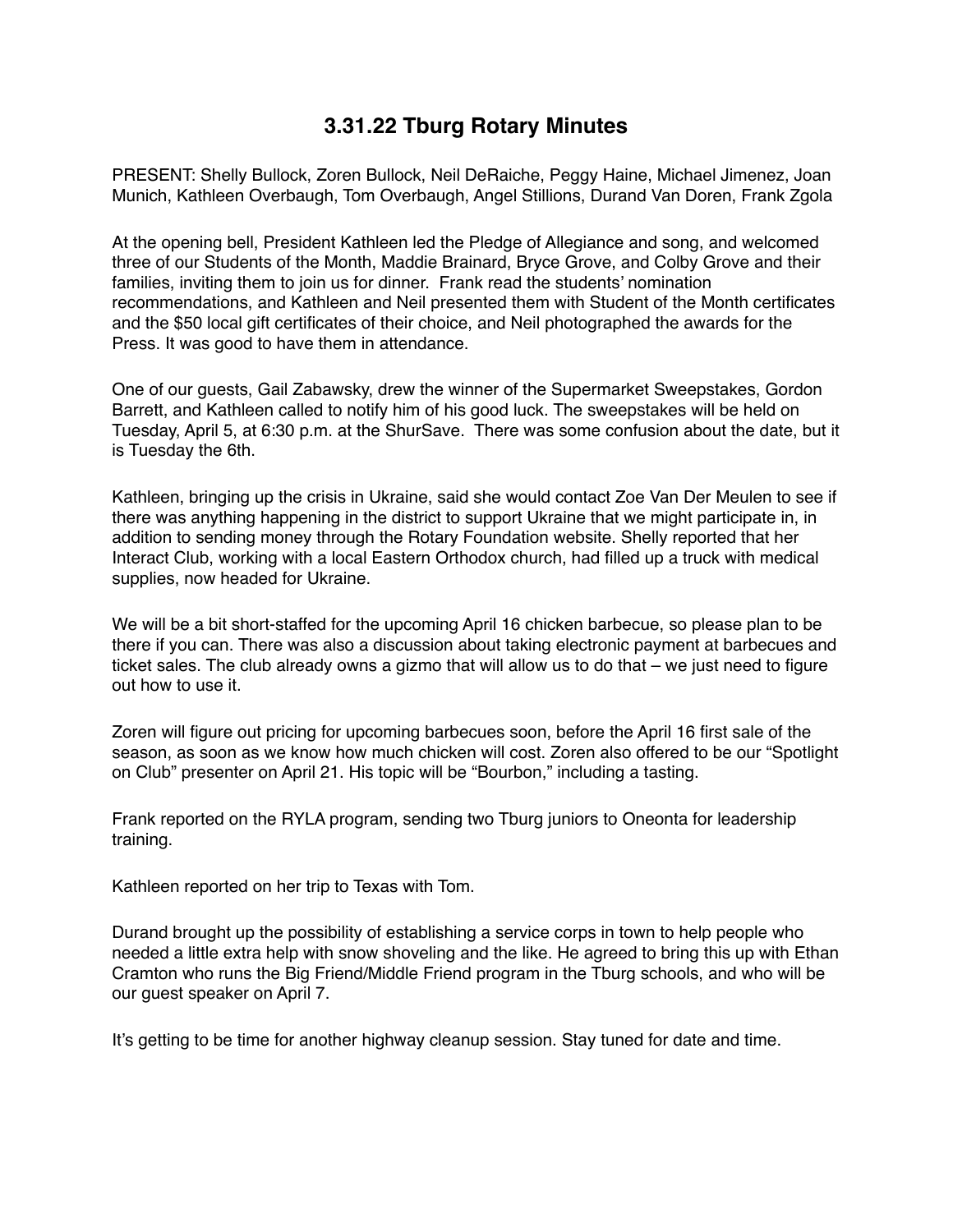## **3.31.22 Tburg Rotary Minutes**

PRESENT: Shelly Bullock, Zoren Bullock, Neil DeRaiche, Peggy Haine, Michael Jimenez, Joan Munich, Kathleen Overbaugh, Tom Overbaugh, Angel Stillions, Durand Van Doren, Frank Zgola

At the opening bell, President Kathleen led the Pledge of Allegiance and song, and welcomed three of our Students of the Month, Maddie Brainard, Bryce Grove, and Colby Grove and their families, inviting them to join us for dinner. Frank read the students' nomination recommendations, and Kathleen and Neil presented them with Student of the Month certificates and the \$50 local gift certificates of their choice, and Neil photographed the awards for the Press. It was good to have them in attendance.

One of our guests, Gail Zabawsky, drew the winner of the Supermarket Sweepstakes, Gordon Barrett, and Kathleen called to notify him of his good luck. The sweepstakes will be held on Tuesday, April 5, at 6:30 p.m. at the ShurSave. There was some confusion about the date, but it is Tuesday the 6th.

Kathleen, bringing up the crisis in Ukraine, said she would contact Zoe Van Der Meulen to see if there was anything happening in the district to support Ukraine that we might participate in, in addition to sending money through the Rotary Foundation website. Shelly reported that her Interact Club, working with a local Eastern Orthodox church, had filled up a truck with medical supplies, now headed for Ukraine.

We will be a bit short-staffed for the upcoming April 16 chicken barbecue, so please plan to be there if you can. There was also a discussion about taking electronic payment at barbecues and ticket sales. The club already owns a gizmo that will allow us to do that – we just need to figure out how to use it.

Zoren will figure out pricing for upcoming barbecues soon, before the April 16 first sale of the season, as soon as we know how much chicken will cost. Zoren also offered to be our "Spotlight on Club" presenter on April 21. His topic will be "Bourbon," including a tasting.

Frank reported on the RYLA program, sending two Tburg juniors to Oneonta for leadership training.

Kathleen reported on her trip to Texas with Tom.

Durand brought up the possibility of establishing a service corps in town to help people who needed a little extra help with snow shoveling and the like. He agreed to bring this up with Ethan Cramton who runs the Big Friend/Middle Friend program in the Tburg schools, and who will be our guest speaker on April 7.

It's getting to be time for another highway cleanup session. Stay tuned for date and time.